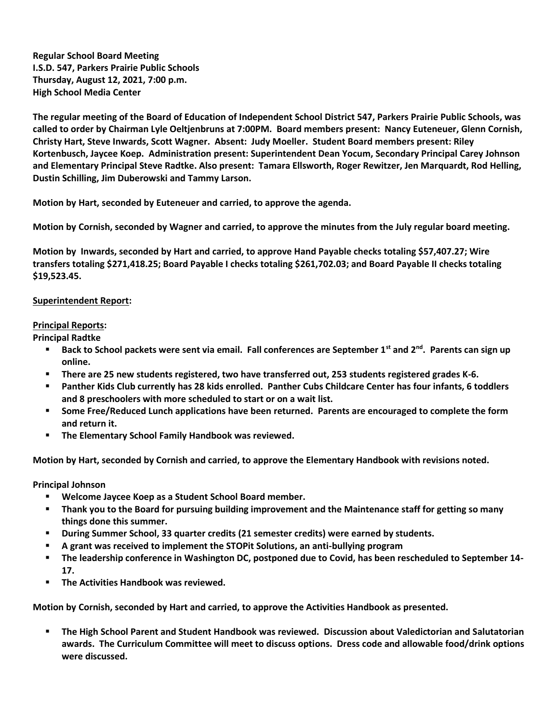**Regular School Board Meeting I.S.D. 547, Parkers Prairie Public Schools Thursday, August 12, 2021, 7:00 p.m. High School Media Center**

**The regular meeting of the Board of Education of Independent School District 547, Parkers Prairie Public Schools, was called to order by Chairman Lyle Oeltjenbruns at 7:00PM. Board members present: Nancy Euteneuer, Glenn Cornish, Christy Hart, Steve Inwards, Scott Wagner. Absent: Judy Moeller. Student Board members present: Riley Kortenbusch, Jaycee Koep. Administration present: Superintendent Dean Yocum, Secondary Principal Carey Johnson and Elementary Principal Steve Radtke. Also present: Tamara Ellsworth, Roger Rewitzer, Jen Marquardt, Rod Helling, Dustin Schilling, Jim Duberowski and Tammy Larson.**

**Motion by Hart, seconded by Euteneuer and carried, to approve the agenda.** 

**Motion by Cornish, seconded by Wagner and carried, to approve the minutes from the July regular board meeting.**

**Motion by Inwards, seconded by Hart and carried, to approve Hand Payable checks totaling \$57,407.27; Wire transfers totaling \$271,418.25; Board Payable I checks totaling \$261,702.03; and Board Payable II checks totaling \$19,523.45.** 

## **Superintendent Report:**

## **Principal Reports:**

**Principal Radtke**

- **Back to School packets were sent via email. Fall conferences are September 1st and 2nd. Parents can sign up online.**
- **There are 25 new students registered, two have transferred out, 253 students registered grades K-6.**
- **Panther Kids Club currently has 28 kids enrolled. Panther Cubs Childcare Center has four infants, 6 toddlers and 8 preschoolers with more scheduled to start or on a wait list.**
- **Some Free/Reduced Lunch applications have been returned. Parents are encouraged to complete the form and return it.**
- **The Elementary School Family Handbook was reviewed.**

**Motion by Hart, seconded by Cornish and carried, to approve the Elementary Handbook with revisions noted.**

**Principal Johnson**

- **Welcome Jaycee Koep as a Student School Board member.**
- **Thank you to the Board for pursuing building improvement and the Maintenance staff for getting so many things done this summer.**
- **During Summer School, 33 quarter credits (21 semester credits) were earned by students.**
- **A grant was received to implement the STOPit Solutions, an anti-bullying program**
- **The leadership conference in Washington DC, postponed due to Covid, has been rescheduled to September 14- 17.**
- **The Activities Handbook was reviewed.**

**Motion by Cornish, seconded by Hart and carried, to approve the Activities Handbook as presented.**

 **The High School Parent and Student Handbook was reviewed. Discussion about Valedictorian and Salutatorian awards. The Curriculum Committee will meet to discuss options. Dress code and allowable food/drink options were discussed.**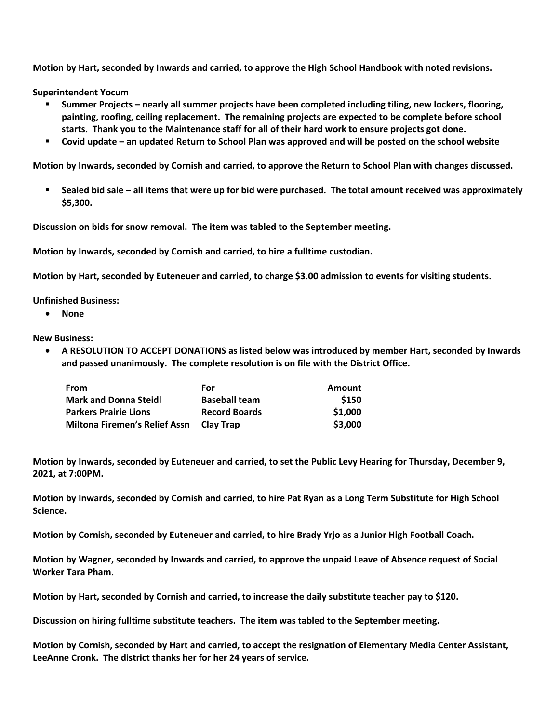**Motion by Hart, seconded by Inwards and carried, to approve the High School Handbook with noted revisions.**

**Superintendent Yocum**

- **Summer Projects – nearly all summer projects have been completed including tiling, new lockers, flooring, painting, roofing, ceiling replacement. The remaining projects are expected to be complete before school starts. Thank you to the Maintenance staff for all of their hard work to ensure projects got done.**
- **Covid update – an updated Return to School Plan was approved and will be posted on the school website**

**Motion by Inwards, seconded by Cornish and carried, to approve the Return to School Plan with changes discussed.**

 **Sealed bid sale – all items that were up for bid were purchased. The total amount received was approximately \$5,300.**

**Discussion on bids for snow removal. The item was tabled to the September meeting.**

**Motion by Inwards, seconded by Cornish and carried, to hire a fulltime custodian.** 

**Motion by Hart, seconded by Euteneuer and carried, to charge \$3.00 admission to events for visiting students.** 

**Unfinished Business:**

**None**

**New Business:**

 **A RESOLUTION TO ACCEPT DONATIONS as listed below was introduced by member Hart, seconded by Inwards and passed unanimously. The complete resolution is on file with the District Office.** 

| From                                 | For                  | Amount  |
|--------------------------------------|----------------------|---------|
| <b>Mark and Donna Steidl</b>         | <b>Baseball team</b> | \$150   |
| <b>Parkers Prairie Lions</b>         | <b>Record Boards</b> | \$1,000 |
| <b>Miltona Firemen's Relief Assn</b> | <b>Clay Trap</b>     | \$3,000 |

**Motion by Inwards, seconded by Euteneuer and carried, to set the Public Levy Hearing for Thursday, December 9, 2021, at 7:00PM.**

**Motion by Inwards, seconded by Cornish and carried, to hire Pat Ryan as a Long Term Substitute for High School Science.** 

**Motion by Cornish, seconded by Euteneuer and carried, to hire Brady Yrjo as a Junior High Football Coach.** 

**Motion by Wagner, seconded by Inwards and carried, to approve the unpaid Leave of Absence request of Social Worker Tara Pham.** 

**Motion by Hart, seconded by Cornish and carried, to increase the daily substitute teacher pay to \$120.** 

**Discussion on hiring fulltime substitute teachers. The item was tabled to the September meeting.**

**Motion by Cornish, seconded by Hart and carried, to accept the resignation of Elementary Media Center Assistant, LeeAnne Cronk. The district thanks her for her 24 years of service.**